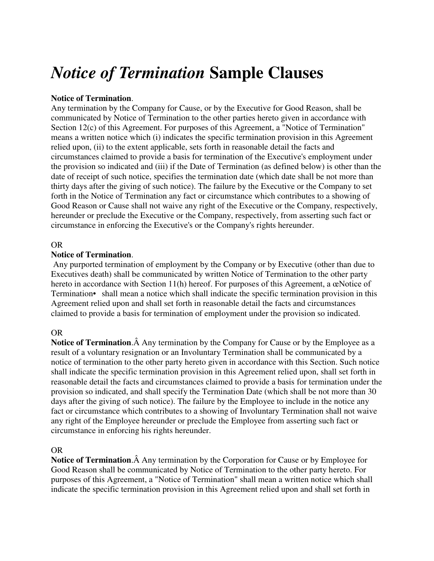# *Notice of Termination* **Sample Clauses**

## **Notice of Termination**.

Any termination by the Company for Cause, or by the Executive for Good Reason, shall be communicated by Notice of Termination to the other parties hereto given in accordance with Section 12(c) of this Agreement. For purposes of this Agreement, a "Notice of Termination" means a written notice which (i) indicates the specific termination provision in this Agreement relied upon, (ii) to the extent applicable, sets forth in reasonable detail the facts and circumstances claimed to provide a basis for termination of the Executive's employment under the provision so indicated and (iii) if the Date of Termination (as defined below) is other than the date of receipt of such notice, specifies the termination date (which date shall be not more than thirty days after the giving of such notice). The failure by the Executive or the Company to set forth in the Notice of Termination any fact or circumstance which contributes to a showing of Good Reason or Cause shall not waive any right of the Executive or the Company, respectively, hereunder or preclude the Executive or the Company, respectively, from asserting such fact or circumstance in enforcing the Executive's or the Company's rights hereunder.

## OR

## **Notice of Termination**.

 Any purported termination of employment by the Company or by Executive (other than due to Executives death) shall be communicated by written Notice of Termination to the other party hereto in accordance with Section 11(h) hereof. For purposes of this Agreement, a œNotice of Termination• shall mean a notice which shall indicate the specific termination provision in this Agreement relied upon and shall set forth in reasonable detail the facts and circumstances claimed to provide a basis for termination of employment under the provision so indicated.

#### OR

**Notice of Termination.** A Any termination by the Company for Cause or by the Employee as a result of a voluntary resignation or an Involuntary Termination shall be communicated by a notice of termination to the other party hereto given in accordance with this Section. Such notice shall indicate the specific termination provision in this Agreement relied upon, shall set forth in reasonable detail the facts and circumstances claimed to provide a basis for termination under the provision so indicated, and shall specify the Termination Date (which shall be not more than 30 days after the giving of such notice). The failure by the Employee to include in the notice any fact or circumstance which contributes to a showing of Involuntary Termination shall not waive any right of the Employee hereunder or preclude the Employee from asserting such fact or circumstance in enforcing his rights hereunder.

#### OR

Notice of Termination. A Any termination by the Corporation for Cause or by Employee for Good Reason shall be communicated by Notice of Termination to the other party hereto. For purposes of this Agreement, a "Notice of Termination" shall mean a written notice which shall indicate the specific termination provision in this Agreement relied upon and shall set forth in